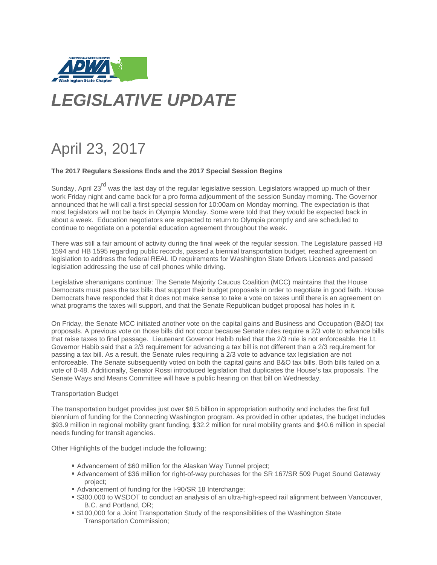

# *LEGISLATIVE UPDATE*

## April 23, 2017

#### **The 2017 Regulars Sessions Ends and the 2017 Special Session Begins**

Sunday, April 23<sup>rd</sup> was the last day of the regular legislative session. Legislators wrapped up much of their work Friday night and came back for a pro forma adjournment of the session Sunday morning. The Governor announced that he will call a first special session for 10:00am on Monday morning. The expectation is that most legislators will not be back in Olympia Monday. Some were told that they would be expected back in about a week. Education negotiators are expected to return to Olympia promptly and are scheduled to continue to negotiate on a potential education agreement throughout the week.

There was still a fair amount of activity during the final week of the regular session. The Legislature passed HB 1594 and HB 1595 regarding public records, passed a biennial transportation budget, reached agreement on legislation to address the federal REAL ID requirements for Washington State Drivers Licenses and passed legislation addressing the use of cell phones while driving.

Legislative shenanigans continue: The Senate Majority Caucus Coalition (MCC) maintains that the House Democrats must pass the tax bills that support their budget proposals in order to negotiate in good faith. House Democrats have responded that it does not make sense to take a vote on taxes until there is an agreement on what programs the taxes will support, and that the Senate Republican budget proposal has holes in it.

On Friday, the Senate MCC initiated another vote on the capital gains and Business and Occupation (B&O) tax proposals. A previous vote on those bills did not occur because Senate rules require a 2/3 vote to advance bills that raise taxes to final passage. Lieutenant Governor Habib ruled that the 2/3 rule is not enforceable. He Lt. Governor Habib said that a 2/3 requirement for advancing a tax bill is not different than a 2/3 requirement for passing a tax bill. As a result, the Senate rules requiring a 2/3 vote to advance tax legislation are not enforceable. The Senate subsequently voted on both the capital gains and B&O tax bills. Both bills failed on a vote of 0-48. Additionally, Senator Rossi introduced legislation that duplicates the House's tax proposals. The Senate Ways and Means Committee will have a public hearing on that bill on Wednesday.

#### Transportation Budget

The transportation budget provides just over \$8.5 billion in appropriation authority and includes the first full biennium of funding for the Connecting Washington program. As provided in other updates, the budget includes \$93.9 million in regional mobility grant funding, \$32.2 million for rural mobility grants and \$40.6 million in special needs funding for transit agencies.

Other Highlights of the budget include the following:

- Advancement of \$60 million for the Alaskan Way Tunnel project;
- Advancement of \$36 million for right-of-way purchases for the SR 167/SR 509 Puget Sound Gateway project;
- Advancement of funding for the I-90/SR 18 Interchange;
- **.** \$300,000 to WSDOT to conduct an analysis of an ultra-high-speed rail alignment between Vancouver, B.C. and Portland, OR;
- \$100,000 for a Joint Transportation Study of the responsibilities of the Washington State Transportation Commission;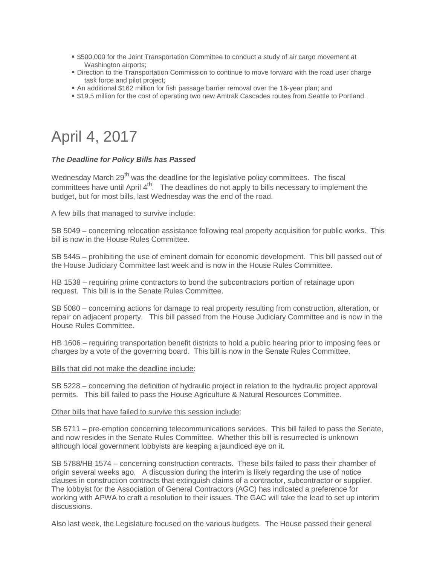- \$500,000 for the Joint Transportation Committee to conduct a study of air cargo movement at Washington airports;
- **Direction to the Transportation Commission to continue to move forward with the road user charge** task force and pilot project;
- An additional \$162 million for fish passage barrier removal over the 16-year plan; and
- \$19.5 million for the cost of operating two new Amtrak Cascades routes from Seattle to Portland.

### April 4, 2017

#### *The Deadline for Policy Bills has Passed*

Wednesday March 29<sup>th</sup> was the deadline for the legislative policy committees. The fiscal committees have until April 4<sup>th</sup>. The deadlines do not apply to bills necessary to implement the budget, but for most bills, last Wednesday was the end of the road.

#### A few bills that managed to survive include:

SB 5049 – concerning relocation assistance following real property acquisition for public works. This bill is now in the House Rules Committee.

SB 5445 – prohibiting the use of eminent domain for economic development. This bill passed out of the House Judiciary Committee last week and is now in the House Rules Committee.

HB 1538 – requiring prime contractors to bond the subcontractors portion of retainage upon request. This bill is in the Senate Rules Committee.

SB 5080 – concerning actions for damage to real property resulting from construction, alteration, or repair on adjacent property. This bill passed from the House Judiciary Committee and is now in the House Rules Committee.

HB 1606 – requiring transportation benefit districts to hold a public hearing prior to imposing fees or charges by a vote of the governing board. This bill is now in the Senate Rules Committee.

#### Bills that did not make the deadline include:

SB 5228 – concerning the definition of hydraulic project in relation to the hydraulic project approval permits. This bill failed to pass the House Agriculture & Natural Resources Committee.

#### Other bills that have failed to survive this session include:

SB 5711 – pre-emption concerning telecommunications services. This bill failed to pass the Senate, and now resides in the Senate Rules Committee. Whether this bill is resurrected is unknown although local government lobbyists are keeping a jaundiced eye on it.

SB 5788/HB 1574 – concerning construction contracts. These bills failed to pass their chamber of origin several weeks ago. A discussion during the interim is likely regarding the use of notice clauses in construction contracts that extinguish claims of a contractor, subcontractor or supplier. The lobbyist for the Association of General Contractors (AGC) has indicated a preference for working with APWA to craft a resolution to their issues. The GAC will take the lead to set up interim discussions.

Also last week, the Legislature focused on the various budgets. The House passed their general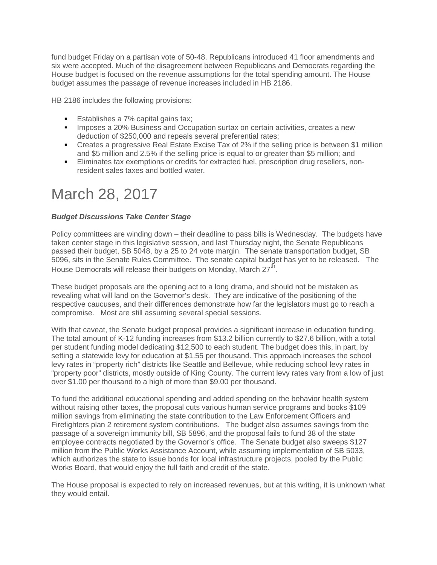fund budget Friday on a partisan vote of 50-48. Republicans introduced 41 floor amendments and six were accepted. Much of the disagreement between Republicans and Democrats regarding the House budget is focused on the revenue assumptions for the total spending amount. The House budget assumes the passage of revenue increases included in HB 2186.

HB 2186 includes the following provisions:

- **Establishes a 7% capital gains tax:**
- **IMPOSES a 20% Business and Occupation surtax on certain activities, creates a new** deduction of \$250,000 and repeals several preferential rates;
- Creates a progressive Real Estate Excise Tax of 2% if the selling price is between \$1 million and \$5 million and 2.5% if the selling price is equal to or greater than \$5 million; and
- Eliminates tax exemptions or credits for extracted fuel, prescription drug resellers, nonresident sales taxes and bottled water.

### March 28, 2017

#### *Budget Discussions Take Center Stage*

Policy committees are winding down – their deadline to pass bills is Wednesday. The budgets have taken center stage in this legislative session, and last Thursday night, the Senate Republicans passed their budget, SB 5048, by a 25 to 24 vote margin. The senate transportation budget, SB 5096, sits in the Senate Rules Committee. The senate capital budget has yet to be released. The House Democrats will release their budgets on Monday, March  $27<sup>th</sup>$ .

These budget proposals are the opening act to a long drama, and should not be mistaken as revealing what will land on the Governor's desk. They are indicative of the positioning of the respective caucuses, and their differences demonstrate how far the legislators must go to reach a compromise. Most are still assuming several special sessions.

With that caveat, the Senate budget proposal provides a significant increase in education funding. The total amount of K-12 funding increases from \$13.2 billion currently to \$27.6 billion, with a total per student funding model dedicating \$12,500 to each student. The budget does this, in part, by setting a statewide levy for education at \$1.55 per thousand. This approach increases the school levy rates in "property rich" districts like Seattle and Bellevue, while reducing school levy rates in "property poor" districts, mostly outside of King County. The current levy rates vary from a low of just over \$1.00 per thousand to a high of more than \$9.00 per thousand.

To fund the additional educational spending and added spending on the behavior health system without raising other taxes, the proposal cuts various human service programs and books \$109 million savings from eliminating the state contribution to the Law Enforcement Officers and Firefighters plan 2 retirement system contributions. The budget also assumes savings from the passage of a sovereign immunity bill, SB 5896, and the proposal fails to fund 38 of the state employee contracts negotiated by the Governor's office. The Senate budget also sweeps \$127 million from the Public Works Assistance Account, while assuming implementation of SB 5033, which authorizes the state to issue bonds for local infrastructure projects, pooled by the Public Works Board, that would enjoy the full faith and credit of the state.

The House proposal is expected to rely on increased revenues, but at this writing, it is unknown what they would entail.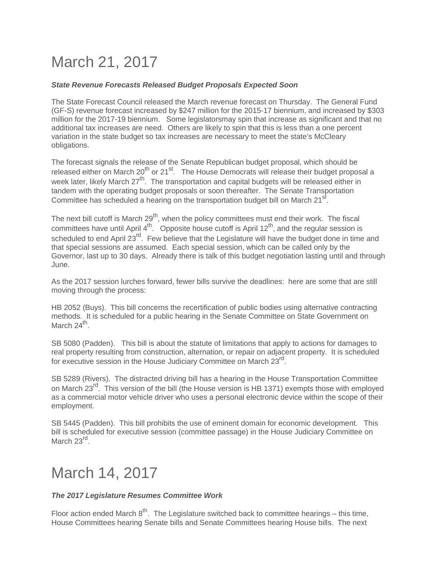## March 21, 2017

#### *State Revenue Forecasts Released Budget Proposals Expected Soon*

The State Forecast Council released the March revenue forecast on Thursday. The General Fund (GF-S) revenue forecast increased by \$247 million for the 2015-17 biennium, and increased by \$303 million for the 2017-19 biennium. Some legislatorsmay spin that increase as significant and that no additional tax increases are need. Others are likely to spin that this is less than a one percent variation in the state budget so tax increases are necessary to meet the state's McCleary obligations.

The forecast signals the release of the Senate Republican budget proposal, which should be released either on March  $20^{th}$  or  $21^{st}$ . The House Democrats will release their budget proposal a week later, likely March 27<sup>th</sup>. The transportation and capital budgets will be released either in tandem with the operating budget proposals or soon thereafter. The Senate Transportation Committee has scheduled a hearing on the transportation budget bill on March 21<sup>st</sup>.

The next bill cutoff is March 29<sup>th</sup>, when the policy committees must end their work. The fiscal committees have until April  $4<sup>th</sup>$ . Opposite house cutoff is April 12<sup>th</sup>, and the regular session is scheduled to end April 23<sup>rd</sup>. Few believe that the Legislature will have the budget done in time and that special sessions are assumed. Each special session, which can be called only by the Governor, last up to 30 days. Already there is talk of this budget negotiation lasting until and through June.

As the 2017 session lurches forward, fewer bills survive the deadlines: here are some that are still moving through the process:

HB 2052 (Buys). This bill concerns the recertification of public bodies using alternative contracting methods. It is scheduled for a public hearing in the Senate Committee on State Government on March 24<sup>th</sup>.

SB 5080 (Padden). This bill is about the statute of limitations that apply to actions for damages to real property resulting from construction, alternation, or repair on adjacent property. It is scheduled for executive session in the House Judiciary Committee on March  $23^{\text{rd}}$ .

SB 5289 (Rivers). The distracted driving bill has a hearing in the House Transportation Committee on March 23<sup>rd</sup>. This version of the bill (the House version is HB 1371) exempts those with employed as a commercial motor vehicle driver who uses a personal electronic device within the scope of their employment.

SB 5445 (Padden). This bill prohibits the use of eminent domain for economic development. This bill is scheduled for executive session (committee passage) in the House Judiciary Committee on March 23<sup>rd</sup>.

### March 14, 2017

#### *The 2017 Legislature Resumes Committee Work*

Floor action ended March  $8^{th}$ . The Legislature switched back to committee hearings – this time, House Committees hearing Senate bills and Senate Committees hearing House bills. The next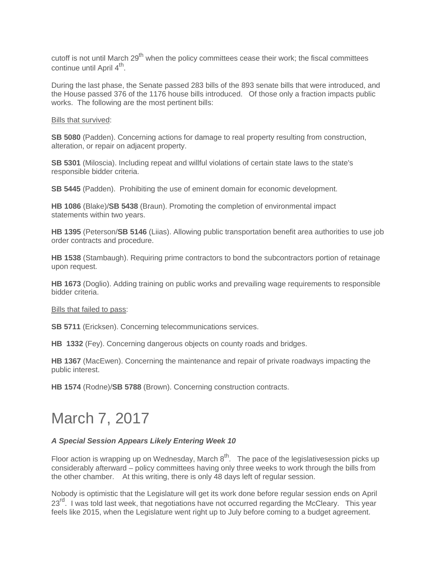cutoff is not until March 29<sup>th</sup> when the policy committees cease their work; the fiscal committees continue until April 4<sup>th</sup>.

During the last phase, the Senate passed 283 bills of the 893 senate bills that were introduced, and the House passed 376 of the 1176 house bills introduced. Of those only a fraction impacts public works. The following are the most pertinent bills:

Bills that survived:

**SB 5080** (Padden). Concerning actions for damage to real property resulting from construction, alteration, or repair on adjacent property.

**SB 5301** (Miloscia). Including repeat and willful violations of certain state laws to the state's responsible bidder criteria.

**SB 5445** (Padden). Prohibiting the use of eminent domain for economic development.

**HB 1086** (Blake)/**SB 5438** (Braun). Promoting the completion of environmental impact statements within two years.

**HB 1395** (Peterson/**SB 5146** (Liias). Allowing public transportation benefit area authorities to use job order contracts and procedure.

**HB 1538** (Stambaugh). Requiring prime contractors to bond the subcontractors portion of retainage upon request.

**HB 1673** (Doglio). Adding training on public works and prevailing wage requirements to responsible bidder criteria.

Bills that failed to pass:

**SB 5711** (Ericksen). Concerning telecommunications services.

**HB 1332** (Fey). Concerning dangerous objects on county roads and bridges.

**HB 1367** (MacEwen). Concerning the maintenance and repair of private roadways impacting the public interest.

**HB 1574** (Rodne)/**SB 5788** (Brown). Concerning construction contracts.

### March 7, 2017

#### *A Special Session Appears Likely Entering Week 10*

Floor action is wrapping up on Wednesday, March  $8^{th}$ . The pace of the legislativesession picks up considerably afterward – policy committees having only three weeks to work through the bills from the other chamber. At this writing, there is only 48 days left of regular session.

Nobody is optimistic that the Legislature will get its work done before regular session ends on April 23<sup>rd</sup>. I was told last week, that negotiations have not occurred regarding the McCleary. This year feels like 2015, when the Legislature went right up to July before coming to a budget agreement.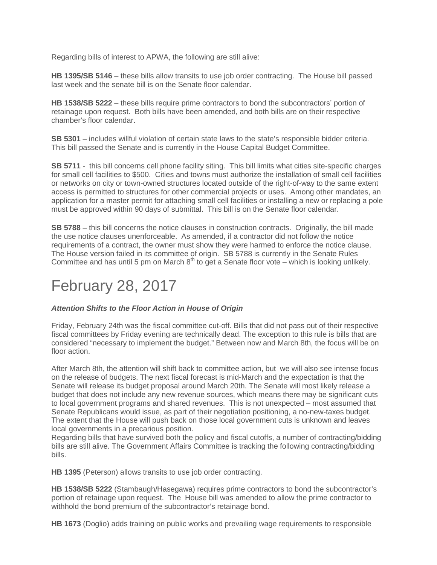Regarding bills of interest to APWA, the following are still alive:

**HB 1395/SB 5146** – these bills allow transits to use job order contracting. The House bill passed last week and the senate bill is on the Senate floor calendar.

**HB 1538/SB 5222** – these bills require prime contractors to bond the subcontractors' portion of retainage upon request. Both bills have been amended, and both bills are on their respective chamber's floor calendar.

**SB 5301** – includes willful violation of certain state laws to the state's responsible bidder criteria. This bill passed the Senate and is currently in the House Capital Budget Committee.

**SB 5711** - this bill concerns cell phone facility siting. This bill limits what cities site-specific charges for small cell facilities to \$500. Cities and towns must authorize the installation of small cell facilities or networks on city or town-owned structures located outside of the right-of-way to the same extent access is permitted to structures for other commercial projects or uses. Among other mandates, an application for a master permit for attaching small cell facilities or installing a new or replacing a pole must be approved within 90 days of submittal. This bill is on the Senate floor calendar.

**SB 5788** – this bill concerns the notice clauses in construction contracts. Originally, the bill made the use notice clauses unenforceable. As amended, if a contractor did not follow the notice requirements of a contract, the owner must show they were harmed to enforce the notice clause. The House version failed in its committee of origin. SB 5788 is currently in the Senate Rules Committee and has until 5 pm on March  $8<sup>th</sup>$  to get a Senate floor vote – which is looking unlikely.

### February 28, 2017

#### *Attention Shifts to the Floor Action in House of Origin*

Friday, February 24th was the fiscal committee cut-off. Bills that did not pass out of their respective fiscal committees by Friday evening are technically dead. The exception to this rule is bills that are considered "necessary to implement the budget." Between now and March 8th, the focus will be on floor action.

After March 8th, the attention will shift back to committee action, but we will also see intense focus on the release of budgets. The next fiscal forecast is mid-March and the expectation is that the Senate will release its budget proposal around March 20th. The Senate will most likely release a budget that does not include any new revenue sources, which means there may be significant cuts to local government programs and shared revenues. This is not unexpected – most assumed that Senate Republicans would issue, as part of their negotiation positioning, a no-new-taxes budget. The extent that the House will push back on those local government cuts is unknown and leaves local governments in a precarious position.

Regarding bills that have survived both the policy and fiscal cutoffs, a number of contracting/bidding bills are still alive. The Government Affairs Committee is tracking the following contracting/bidding bills.

**HB 1395** (Peterson) allows transits to use job order contracting.

**HB 1538/SB 5222** (Stambaugh/Hasegawa) requires prime contractors to bond the subcontractor's portion of retainage upon request. The House bill was amended to allow the prime contractor to withhold the bond premium of the subcontractor's retainage bond.

**HB 1673** (Doglio) adds training on public works and prevailing wage requirements to responsible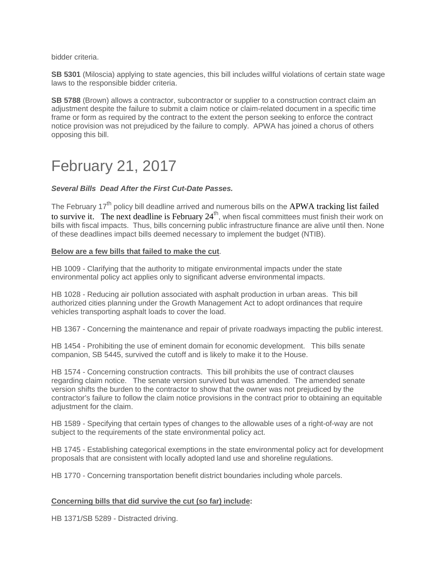bidder criteria.

**SB 5301** (Miloscia) applying to state agencies, this bill includes willful violations of certain state wage laws to the responsible bidder criteria.

**SB 5788** (Brown) allows a contractor, subcontractor or supplier to a construction contract claim an adjustment despite the failure to submit a claim notice or claim-related document in a specific time frame or form as required by the contract to the extent the person seeking to enforce the contract notice provision was not prejudiced by the failure to comply. APWA has joined a chorus of others opposing this bill.

### February 21, 2017

#### *Several Bills Dead After the First Cut-Date Passes.*

The February 17<sup>th</sup> policy bill deadline arrived and numerous bills on the APWA tracking list failed to survive it. The next deadline is February 24<sup>th</sup>, when fiscal committees must finish their work on bills with fiscal impacts. Thus, bills concerning public infrastructure finance are alive until then. None of these deadlines impact bills deemed necessary to implement the budget (NTIB).

#### **Below are a few bills that failed to make the cut**.

HB 1009 - Clarifying that the authority to mitigate environmental impacts under the state environmental policy act applies only to significant adverse environmental impacts.

HB 1028 - Reducing air pollution associated with asphalt production in urban areas. This bill authorized cities planning under the Growth Management Act to adopt ordinances that require vehicles transporting asphalt loads to cover the load.

HB 1367 - Concerning the maintenance and repair of private roadways impacting the public interest.

HB 1454 - Prohibiting the use of eminent domain for economic development. This bills senate companion, SB 5445, survived the cutoff and is likely to make it to the House.

HB 1574 - Concerning construction contracts. This bill prohibits the use of contract clauses regarding claim notice. The senate version survived but was amended. The amended senate version shifts the burden to the contractor to show that the owner was not prejudiced by the contractor's failure to follow the claim notice provisions in the contract prior to obtaining an equitable adjustment for the claim.

HB 1589 - Specifying that certain types of changes to the allowable uses of a right-of-way are not subject to the requirements of the state environmental policy act.

HB 1745 - Establishing categorical exemptions in the state environmental policy act for development proposals that are consistent with locally adopted land use and shoreline regulations.

HB 1770 - Concerning transportation benefit district boundaries including whole parcels.

#### **Concerning bills that did survive the cut (so far) include:**

HB 1371/SB 5289 - Distracted driving.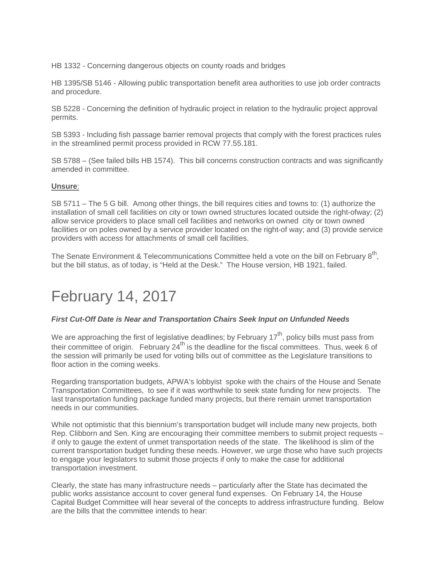HB 1332 - Concerning dangerous objects on county roads and bridges

HB 1395/SB 5146 - Allowing public transportation benefit area authorities to use job order contracts and procedure.

SB 5228 - Concerning the definition of hydraulic project in relation to the hydraulic project approval permits.

SB 5393 - Including fish passage barrier removal projects that comply with the forest practices rules in the streamlined permit process provided in RCW 77.55.181.

SB 5788 – (See failed bills HB 1574). This bill concerns construction contracts and was significantly amended in committee.

#### **Unsure**:

SB 5711 – The 5 G bill. Among other things, the bill requires cities and towns to: (1) authorize the installation of small cell facilities on city or town owned structures located outside the right-ofway; (2) allow service providers to place small cell facilities and networks on owned city or town owned facilities or on poles owned by a service provider located on the right-of way; and (3) provide service providers with access for attachments of small cell facilities.

The Senate Environment & Telecommunications Committee held a vote on the bill on February 8<sup>th</sup>. but the bill status, as of today, is "Held at the Desk." The House version, HB 1921, failed.

### February 14, 2017

#### *First Cut-Off Date is Near and Transportation Chairs Seek Input on Unfunded Needs*

We are approaching the first of legislative deadlines; by February  $17<sup>th</sup>$ , policy bills must pass from their committee of origin. February 24<sup>th</sup> is the deadline for the fiscal committees. Thus, week 6 of the session will primarily be used for voting bills out of committee as the Legislature transitions to floor action in the coming weeks.

Regarding transportation budgets, APWA's lobbyist spoke with the chairs of the House and Senate Transportation Committees, to see if it was worthwhile to seek state funding for new projects. The last transportation funding package funded many projects, but there remain unmet transportation needs in our communities.

While not optimistic that this biennium's transportation budget will include many new projects, both Rep. Clibborn and Sen. King are encouraging their committee members to submit project requests – if only to gauge the extent of unmet transportation needs of the state. The likelihood is slim of the current transportation budget funding these needs. However, we urge those who have such projects to engage your legislators to submit those projects if only to make the case for additional transportation investment.

Clearly, the state has many infrastructure needs – particularly after the State has decimated the public works assistance account to cover general fund expenses. On February 14, the House Capital Budget Committee will hear several of the concepts to address infrastructure funding. Below are the bills that the committee intends to hear: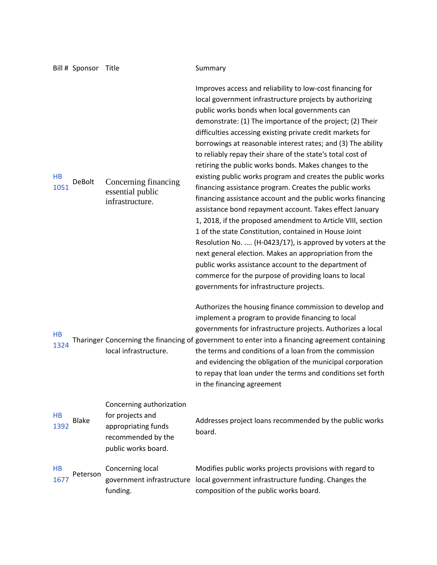|                   | Bill # Sponsor Title |                                                                                                                  | Summary                                                                                                                                                                                                                                                                                                                                                                                                                                                                                                                                                                                                                                                                                                                                                                                                                                                                                                                                                                                                                                                                                                                                              |
|-------------------|----------------------|------------------------------------------------------------------------------------------------------------------|------------------------------------------------------------------------------------------------------------------------------------------------------------------------------------------------------------------------------------------------------------------------------------------------------------------------------------------------------------------------------------------------------------------------------------------------------------------------------------------------------------------------------------------------------------------------------------------------------------------------------------------------------------------------------------------------------------------------------------------------------------------------------------------------------------------------------------------------------------------------------------------------------------------------------------------------------------------------------------------------------------------------------------------------------------------------------------------------------------------------------------------------------|
| HB<br>1051        | <b>DeBolt</b>        | Concerning financing<br>essential public<br>infrastructure.                                                      | Improves access and reliability to low-cost financing for<br>local government infrastructure projects by authorizing<br>public works bonds when local governments can<br>demonstrate: (1) The importance of the project; (2) Their<br>difficulties accessing existing private credit markets for<br>borrowings at reasonable interest rates; and (3) The ability<br>to reliably repay their share of the state's total cost of<br>retiring the public works bonds. Makes changes to the<br>existing public works program and creates the public works<br>financing assistance program. Creates the public works<br>financing assistance account and the public works financing<br>assistance bond repayment account. Takes effect January<br>1, 2018, if the proposed amendment to Article VIII, section<br>1 of the state Constitution, contained in House Joint<br>Resolution No.  (H-0423/17), is approved by voters at the<br>next general election. Makes an appropriation from the<br>public works assistance account to the department of<br>commerce for the purpose of providing loans to local<br>governments for infrastructure projects. |
| HB<br>1324        |                      | local infrastructure.                                                                                            | Authorizes the housing finance commission to develop and<br>implement a program to provide financing to local<br>governments for infrastructure projects. Authorizes a local<br>Tharinger Concerning the financing of government to enter into a financing agreement containing<br>the terms and conditions of a loan from the commission<br>and evidencing the obligation of the municipal corporation<br>to repay that loan under the terms and conditions set forth<br>in the financing agreement                                                                                                                                                                                                                                                                                                                                                                                                                                                                                                                                                                                                                                                 |
| <b>HB</b><br>1392 | <b>Blake</b>         | Concerning authorization<br>for projects and<br>appropriating funds<br>recommended by the<br>public works board. | Addresses project loans recommended by the public works<br>board.                                                                                                                                                                                                                                                                                                                                                                                                                                                                                                                                                                                                                                                                                                                                                                                                                                                                                                                                                                                                                                                                                    |
| HB<br>1677        | Peterson             | Concerning local<br>government infrastructure<br>funding.                                                        | Modifies public works projects provisions with regard to<br>local government infrastructure funding. Changes the<br>composition of the public works board.                                                                                                                                                                                                                                                                                                                                                                                                                                                                                                                                                                                                                                                                                                                                                                                                                                                                                                                                                                                           |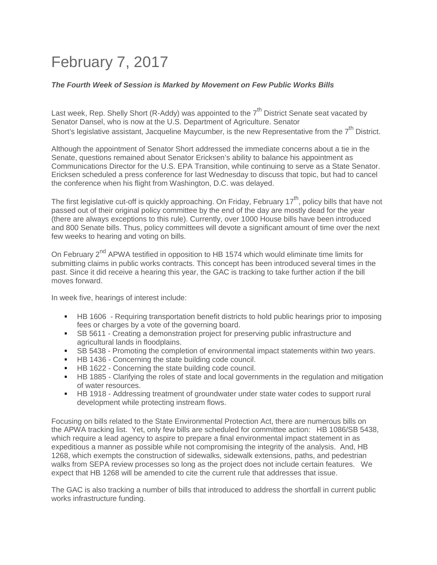## February 7, 2017

#### *The Fourth Week of Session is Marked by Movement on Few Public Works Bills*

Last week, Rep. Shelly Short (R-Addy) was appointed to the  $7<sup>th</sup>$  District Senate seat vacated by Senator Dansel, who is now at the U.S. Department of Agriculture. Senator Short's legislative assistant, Jacqueline Maycumber, is the new Representative from the 7<sup>th</sup> District.

Although the appointment of Senator Short addressed the immediate concerns about a tie in the Senate, questions remained about Senator Ericksen's ability to balance his appointment as Communications Director for the U.S. EPA Transition, while continuing to serve as a State Senator. Ericksen scheduled a press conference for last Wednesday to discuss that topic, but had to cancel the conference when his flight from Washington, D.C. was delayed.

The first legislative cut-off is quickly approaching. On Friday, February  $17<sup>th</sup>$ , policy bills that have not passed out of their original policy committee by the end of the day are mostly dead for the year (there are always exceptions to this rule). Currently, over 1000 House bills have been introduced and 800 Senate bills. Thus, policy committees will devote a significant amount of time over the next few weeks to hearing and voting on bills.

On February 2<sup>nd</sup> APWA testified in opposition to HB 1574 which would eliminate time limits for submitting claims in public works contracts. This concept has been introduced several times in the past. Since it did receive a hearing this year, the GAC is tracking to take further action if the bill moves forward.

In week five, hearings of interest include:

- HB 1606 Requiring transportation benefit districts to hold public hearings prior to imposing fees or charges by a vote of the governing board.
- SB 5611 Creating a demonstration project for preserving public infrastructure and agricultural lands in floodplains.
- SB 5438 Promoting the completion of environmental impact statements within two years.
- HB 1436 Concerning the state building code council.
- HB 1622 Concerning the state building code council.
- **HB 1885 Clarifying the roles of state and local governments in the regulation and mitigation** of water resources.
- HB 1918 Addressing treatment of groundwater under state water codes to support rural development while protecting instream flows.

Focusing on bills related to the State Environmental Protection Act, there are numerous bills on the APWA tracking list. Yet, only few bills are scheduled for committee action: HB 1086/SB 5438, which require a lead agency to aspire to prepare a final environmental impact statement in as expeditious a manner as possible while not compromising the integrity of the analysis. And, HB 1268, which exempts the construction of sidewalks, sidewalk extensions, paths, and pedestrian walks from SEPA review processes so long as the project does not include certain features. We expect that HB 1268 will be amended to cite the current rule that addresses that issue.

The GAC is also tracking a number of bills that introduced to address the shortfall in current public works infrastructure funding.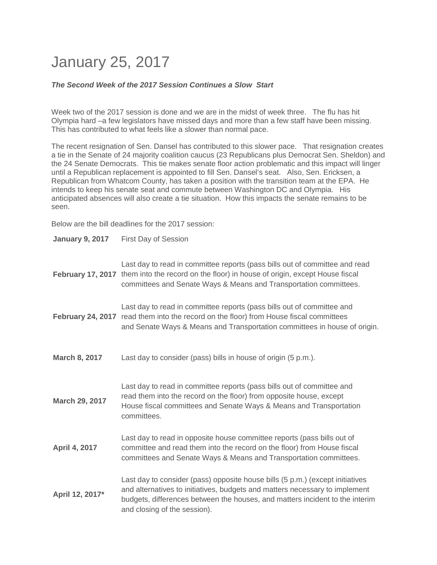## January 25, 2017

#### *The Second Week of the 2017 Session Continues a Slow Start*

Week two of the 2017 session is done and we are in the midst of week three. The flu has hit Olympia hard –a few legislators have missed days and more than a few staff have been missing. This has contributed to what feels like a slower than normal pace.

The recent resignation of Sen. Dansel has contributed to this slower pace. That resignation creates a tie in the Senate of 24 majority coalition caucus (23 Republicans plus Democrat Sen. Sheldon) and the 24 Senate Democrats. This tie makes senate floor action problematic and this impact will linger until a Republican replacement is appointed to fill Sen. Dansel's seat. Also, Sen. Ericksen, a Republican from Whatcom County, has taken a position with the transition team at the EPA. He intends to keep his senate seat and commute between Washington DC and Olympia. His anticipated absences will also create a tie situation. How this impacts the senate remains to be seen.

Below are the bill deadlines for the 2017 session:

| <b>January 9, 2017</b>   | First Day of Session                                                                                                                                                                                                                                                         |
|--------------------------|------------------------------------------------------------------------------------------------------------------------------------------------------------------------------------------------------------------------------------------------------------------------------|
| <b>February 17, 2017</b> | Last day to read in committee reports (pass bills out of committee and read<br>them into the record on the floor) in house of origin, except House fiscal<br>committees and Senate Ways & Means and Transportation committees.                                               |
| <b>February 24, 2017</b> | Last day to read in committee reports (pass bills out of committee and<br>read them into the record on the floor) from House fiscal committees<br>and Senate Ways & Means and Transportation committees in house of origin.                                                  |
| March 8, 2017            | Last day to consider (pass) bills in house of origin (5 p.m.).                                                                                                                                                                                                               |
| March 29, 2017           | Last day to read in committee reports (pass bills out of committee and<br>read them into the record on the floor) from opposite house, except<br>House fiscal committees and Senate Ways & Means and Transportation<br>committees.                                           |
| April 4, 2017            | Last day to read in opposite house committee reports (pass bills out of<br>committee and read them into the record on the floor) from House fiscal<br>committees and Senate Ways & Means and Transportation committees.                                                      |
| April 12, 2017*          | Last day to consider (pass) opposite house bills (5 p.m.) (except initiatives<br>and alternatives to initiatives, budgets and matters necessary to implement<br>budgets, differences between the houses, and matters incident to the interim<br>and closing of the session). |